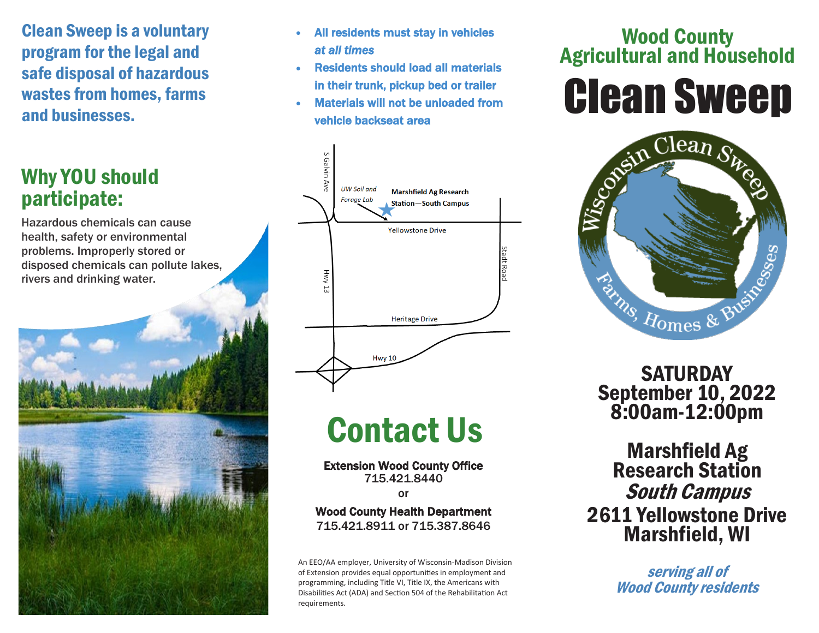Clean Sweep is a voluntary program for the legal and safe disposal of hazardous wastes from homes, farms and businesses.

# Why YOU should participate:

Hazardous chemicals can cause health, safety or environmental problems. Improperly stored or disposed chemicals can pollute lakes, rivers and drinking water.



- All residents must stay in vehicles *at all times*
- Residents should load all materials in their trunk, pickup bed or trailer
- Materials will not be unloaded from vehicle backseat area



# Contact Us

Extension Wood County Office 715.421.8440

or

#### Wood County Health Department 715.421.8911 or 715.387.8646

An EEO/AA employer, University of Wisconsin-Madison Division of Extension provides equal opportunities in employment and programming, including Title VI, Title IX, the Americans with Disabilities Act (ADA) and Section 504 of the Rehabilitation Act requirements.

# Wood County Agricultural and Household





**SATURDAY** September 10, 2022 8:00am-12:00pm

Marshfield Ag Research Station South Campus 2611 Yellowstone Drive Marshfield, WI

> serving all of Wood County residents